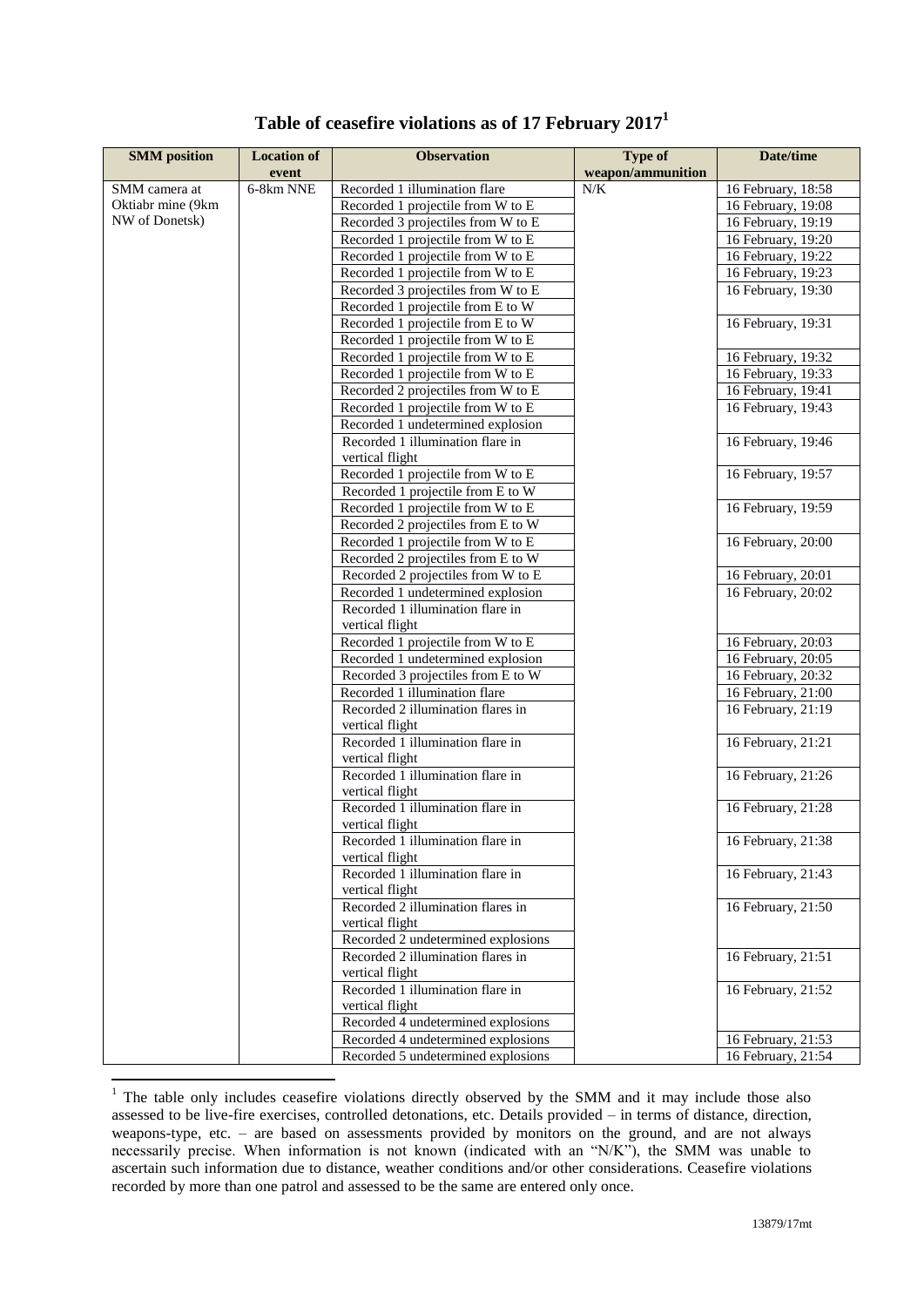| <b>SMM</b> position | <b>Location of</b> | <b>Observation</b>                                   | <b>Type of</b>    | Date/time            |
|---------------------|--------------------|------------------------------------------------------|-------------------|----------------------|
|                     | event              |                                                      | weapon/ammunition |                      |
| SMM camera at       | 6-8km NNE          | Recorded 1 illumination flare                        | N/K               | 16 February, 18:58   |
| Oktiabr mine (9km   |                    | Recorded 1 projectile from W to E                    |                   | 16 February, 19:08   |
| NW of Donetsk)      |                    | Recorded 3 projectiles from W to E                   |                   | 16 February, 19:19   |
|                     |                    | Recorded 1 projectile from W to E                    |                   | 16 February, 19:20   |
|                     |                    | Recorded 1 projectile from W to E                    |                   | 16 February, 19:22   |
|                     |                    | Recorded 1 projectile from W to E                    |                   | $16$ February, 19:23 |
|                     |                    | Recorded 3 projectiles from W to E                   |                   | 16 February, 19:30   |
|                     |                    | Recorded 1 projectile from E to W                    |                   |                      |
|                     |                    | Recorded 1 projectile from E to W                    |                   | 16 February, 19:31   |
|                     |                    | Recorded 1 projectile from W to E                    |                   |                      |
|                     |                    | Recorded 1 projectile from W to E                    |                   | 16 February, 19:32   |
|                     |                    | Recorded 1 projectile from W to E                    |                   | 16 February, 19:33   |
|                     |                    | Recorded 2 projectiles from W to E                   |                   | 16 February, 19:41   |
|                     |                    | Recorded 1 projectile from W to E                    |                   | 16 February, 19:43   |
|                     |                    | Recorded 1 undetermined explosion                    |                   |                      |
|                     |                    | Recorded 1 illumination flare in                     |                   | 16 February, 19:46   |
|                     |                    | vertical flight                                      |                   |                      |
|                     |                    | Recorded 1 projectile from W to E                    |                   | 16 February, 19:57   |
|                     |                    | Recorded 1 projectile from E to W                    |                   |                      |
|                     |                    | Recorded 1 projectile from W to E                    |                   | 16 February, 19:59   |
|                     |                    | Recorded 2 projectiles from E to W                   |                   |                      |
|                     |                    | Recorded 1 projectile from W to E                    |                   | 16 February, 20:00   |
|                     |                    | Recorded 2 projectiles from E to W                   |                   |                      |
|                     |                    | Recorded 2 projectiles from W to E                   |                   | 16 February, 20:01   |
|                     |                    | Recorded 1 undetermined explosion                    |                   | 16 February, 20:02   |
|                     |                    | Recorded 1 illumination flare in                     |                   |                      |
|                     |                    | vertical flight                                      |                   |                      |
|                     |                    | Recorded 1 projectile from W to E                    |                   | 16 February, 20:03   |
|                     |                    | Recorded 1 undetermined explosion                    |                   | 16 February, 20:05   |
|                     |                    | Recorded 3 projectiles from E to W                   |                   | 16 February, 20:32   |
|                     |                    | Recorded 1 illumination flare                        |                   | 16 February, 21:00   |
|                     |                    | Recorded 2 illumination flares in<br>vertical flight |                   | 16 February, 21:19   |
|                     |                    | Recorded 1 illumination flare in                     |                   | 16 February, 21:21   |
|                     |                    | vertical flight                                      |                   |                      |
|                     |                    | Recorded 1 illumination flare in                     |                   | 16 February, 21:26   |
|                     |                    | vertical flight                                      |                   |                      |
|                     |                    | Recorded 1 illumination flare in<br>vertical flight  |                   | 16 February, 21:28   |
|                     |                    | Recorded 1 illumination flare in                     |                   | 16 February, 21:38   |
|                     |                    | vertical flight<br>Recorded 1 illumination flare in  |                   | 16 February, 21:43   |
|                     |                    | vertical flight                                      |                   |                      |
|                     |                    | Recorded 2 illumination flares in                    |                   | 16 February, 21:50   |
|                     |                    | vertical flight                                      |                   |                      |
|                     |                    | Recorded 2 undetermined explosions                   |                   |                      |
|                     |                    | Recorded 2 illumination flares in<br>vertical flight |                   | 16 February, 21:51   |
|                     |                    | Recorded 1 illumination flare in                     |                   | 16 February, 21:52   |
|                     |                    | vertical flight                                      |                   |                      |
|                     |                    | Recorded 4 undetermined explosions                   |                   |                      |
|                     |                    | Recorded 4 undetermined explosions                   |                   | 16 February, 21:53   |
|                     |                    | Recorded 5 undetermined explosions                   |                   | 16 February, 21:54   |

## **Table of ceasefire violations as of 17 February 2017<sup>1</sup>**

1

 $1$  The table only includes ceasefire violations directly observed by the SMM and it may include those also assessed to be live-fire exercises, controlled detonations, etc. Details provided – in terms of distance, direction, weapons-type, etc. – are based on assessments provided by monitors on the ground, and are not always necessarily precise. When information is not known (indicated with an "N/K"), the SMM was unable to ascertain such information due to distance, weather conditions and/or other considerations. Ceasefire violations recorded by more than one patrol and assessed to be the same are entered only once.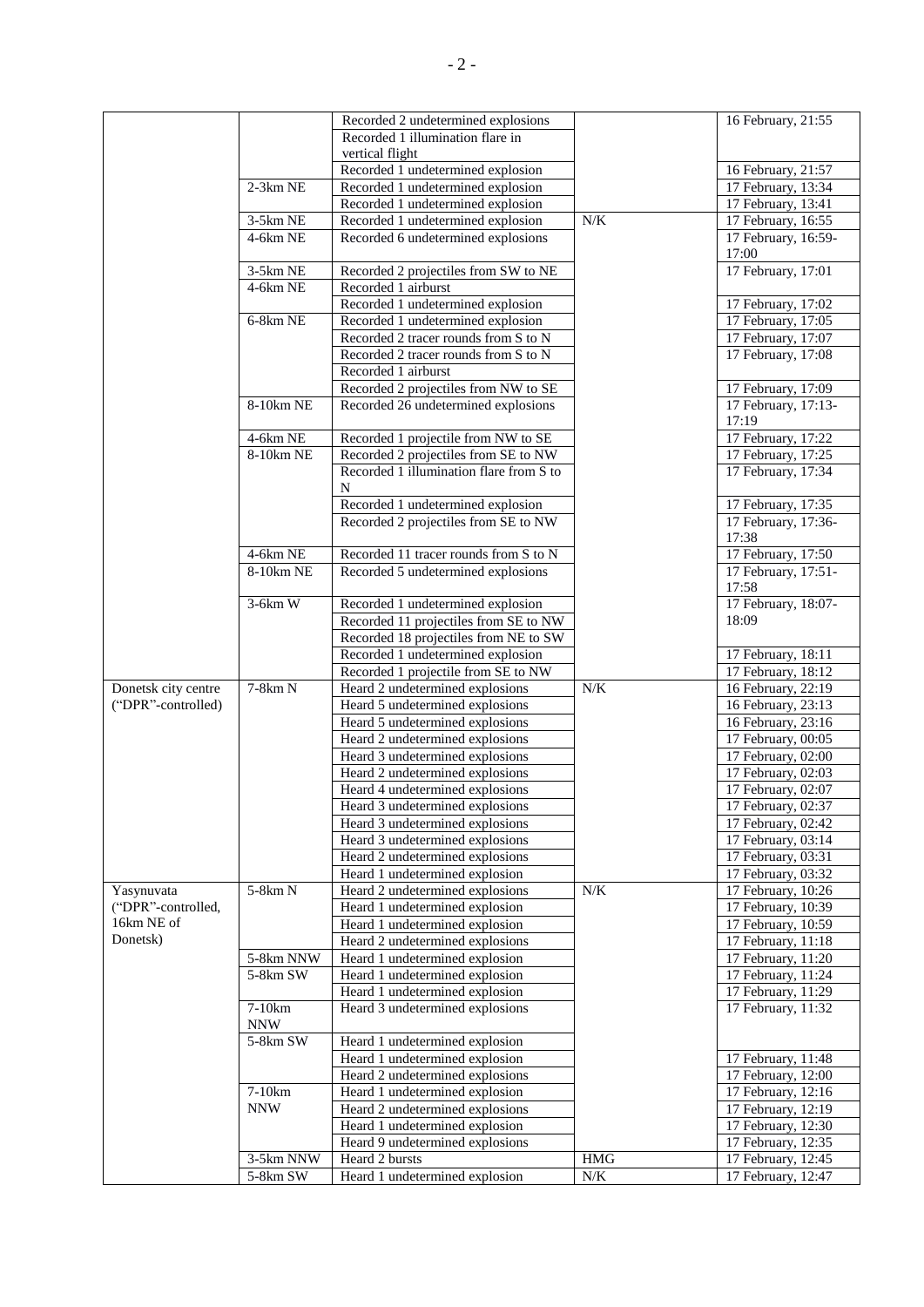|                     |                | Recorded 2 undetermined explosions      |            | 16 February, 21:55           |
|---------------------|----------------|-----------------------------------------|------------|------------------------------|
|                     |                | Recorded 1 illumination flare in        |            |                              |
|                     |                | vertical flight                         |            |                              |
|                     |                | Recorded 1 undetermined explosion       |            | 16 February, 21:57           |
|                     | $2-3km$ NE     | Recorded 1 undetermined explosion       |            | 17 February, 13:34           |
|                     |                | Recorded 1 undetermined explosion       |            | 17 February, 13:41           |
|                     | 3-5km NE       | Recorded 1 undetermined explosion       | N/K        | 17 February, 16:55           |
|                     |                |                                         |            |                              |
|                     | 4-6km NE       | Recorded 6 undetermined explosions      |            | 17 February, 16:59-<br>17:00 |
|                     |                |                                         |            |                              |
|                     | 3-5km NE       | Recorded 2 projectiles from SW to NE    |            | 17 February, 17:01           |
|                     | 4-6km NE       | Recorded 1 airburst                     |            |                              |
|                     |                | Recorded 1 undetermined explosion       |            | 17 February, 17:02           |
|                     | 6-8km NE       | Recorded 1 undetermined explosion       |            | 17 February, 17:05           |
|                     |                | Recorded 2 tracer rounds from S to N    |            | 17 February, 17:07           |
|                     |                | Recorded 2 tracer rounds from S to N    |            | 17 February, 17:08           |
|                     |                | Recorded 1 airburst                     |            |                              |
|                     |                | Recorded 2 projectiles from NW to SE    |            | 17 February, 17:09           |
|                     | 8-10km NE      | Recorded 26 undetermined explosions     |            | 17 February, 17:13-          |
|                     |                |                                         |            | 17:19                        |
|                     | 4-6km NE       | Recorded 1 projectile from NW to SE     |            | 17 February, 17:22           |
|                     | 8-10km NE      | Recorded 2 projectiles from SE to NW    |            | 17 February, 17:25           |
|                     |                | Recorded 1 illumination flare from S to |            | 17 February, 17:34           |
|                     |                | N                                       |            |                              |
|                     |                | Recorded 1 undetermined explosion       |            | 17 February, 17:35           |
|                     |                | Recorded 2 projectiles from SE to NW    |            | 17 February, 17:36-          |
|                     |                |                                         |            | 17:38                        |
|                     | $4-6km$ NE     | Recorded 11 tracer rounds from S to N   |            | 17 February, 17:50           |
|                     | 8-10km NE      | Recorded 5 undetermined explosions      |            | 17 February, 17:51-          |
|                     |                |                                         |            | 17:58                        |
|                     | $3-6km$ W      | Recorded 1 undetermined explosion       |            | 17 February, 18:07-          |
|                     |                | Recorded 11 projectiles from SE to NW   |            | 18:09                        |
|                     |                | Recorded 18 projectiles from NE to SW   |            |                              |
|                     |                | Recorded 1 undetermined explosion       |            | 17 February, 18:11           |
|                     |                | Recorded 1 projectile from SE to NW     |            | 17 February, 18:12           |
| Donetsk city centre | $7-8km N$      | Heard 2 undetermined explosions         | N/K        | 16 February, 22:19           |
| ("DPR"-controlled)  |                | Heard 5 undetermined explosions         |            | 16 February, 23:13           |
|                     |                | Heard 5 undetermined explosions         |            | 16 February, 23:16           |
|                     |                | Heard 2 undetermined explosions         |            | 17 February, 00:05           |
|                     |                | Heard 3 undetermined explosions         |            | 17 February, 02:00           |
|                     |                | Heard 2 undetermined explosions         |            | 17 February, 02:03           |
|                     |                | Heard 4 undetermined explosions         |            | 17 February, 02:07           |
|                     |                | Heard 3 undetermined explosions         |            | 17 February, 02:37           |
|                     |                | Heard 3 undetermined explosions         |            | 17 February, 02:42           |
|                     |                | Heard 3 undetermined explosions         |            | 17 February, 03:14           |
|                     |                | Heard 2 undetermined explosions         |            | 17 February, 03:31           |
|                     |                | Heard 1 undetermined explosion          |            | 17 February, 03:32           |
| Yasynuvata          | 5-8km N        | Heard 2 undetermined explosions         | N/K        | 17 February, 10:26           |
| ("DPR"-controlled,  |                | Heard 1 undetermined explosion          |            | 17 February, 10:39           |
| 16km NE of          |                | Heard 1 undetermined explosion          |            |                              |
| Donetsk)            |                |                                         |            | 17 February, 10:59           |
|                     |                | Heard 2 undetermined explosions         |            | 17 February, 11:18           |
|                     | 5-8km NNW      | Heard 1 undetermined explosion          |            | 17 February, 11:20           |
|                     | $5-8km$ SW     | Heard 1 undetermined explosion          |            | 17 February, 11:24           |
|                     |                | Heard 1 undetermined explosion          |            | 17 February, 11:29           |
|                     | 7-10km         | Heard 3 undetermined explosions         |            | 17 February, 11:32           |
|                     | $\textsf{NNW}$ |                                         |            |                              |
|                     | 5-8km SW       | Heard 1 undetermined explosion          |            |                              |
|                     |                | Heard 1 undetermined explosion          |            | 17 February, 11:48           |
|                     |                | Heard 2 undetermined explosions         |            | 17 February, 12:00           |
|                     | $7-10km$       | Heard 1 undetermined explosion          |            | 17 February, 12:16           |
|                     | <b>NNW</b>     | Heard 2 undetermined explosions         |            | 17 February, 12:19           |
|                     |                | Heard 1 undetermined explosion          |            | 17 February, 12:30           |
|                     |                | Heard 9 undetermined explosions         |            | 17 February, 12:35           |
|                     | 3-5km NNW      | Heard 2 bursts                          | $\rm{HMG}$ | 17 February, 12:45           |
|                     | 5-8km SW       | Heard 1 undetermined explosion          | $N\!/\!K$  | 17 February, 12:47           |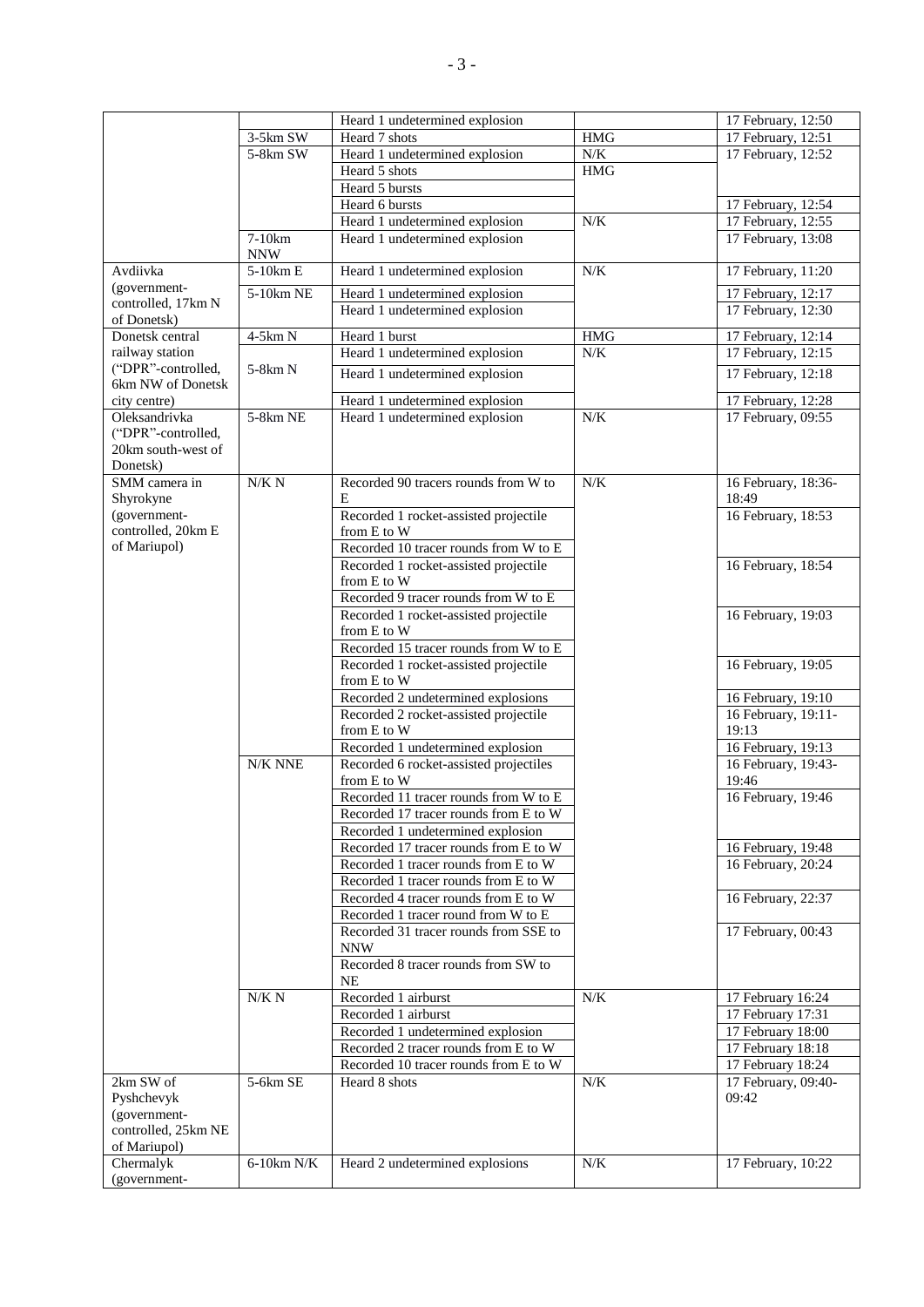| 3-5km SW<br>Heard 7 shots<br><b>HMG</b><br>17 February, 12:51<br>5-8km SW<br>N/K<br>Heard 1 undetermined explosion<br>17 February, 12:52<br>Heard 5 shots<br><b>HMG</b><br>Heard 5 bursts<br>Heard 6 bursts<br>17 February, 12:54<br>$N/K$<br>Heard 1 undetermined explosion<br>17 February, 12:55<br>$7-10km$<br>Heard 1 undetermined explosion<br>17 February, 13:08<br><b>NNW</b><br>$5-10km E$<br>Avdiivka<br>Heard 1 undetermined explosion<br>N/K<br>17 February, 11:20<br>(government-<br>$5-10km$ NE<br>Heard 1 undetermined explosion<br>17 February, 12:17<br>controlled, 17km N<br>Heard 1 undetermined explosion<br>17 February, 12:30<br>of Donetsk)<br>Donetsk central<br>4-5km N<br>Heard 1 burst<br><b>HMG</b><br>17 February, 12:14<br>Heard 1 undetermined explosion<br>railway station<br>$N/K$<br>17 February, 12:15<br>("DPR"-controlled,<br>5-8km N<br>Heard 1 undetermined explosion<br>17 February, 12:18<br>6km NW of Donetsk<br>Heard 1 undetermined explosion<br>17 February, 12:28<br>city centre)<br>5-8km NE<br>N/K<br>17 February, 09:55<br>Oleksandrivka<br>Heard 1 undetermined explosion<br>("DPR"-controlled,<br>20km south-west of<br>Donetsk)<br>N/K N<br>N/K<br>Recorded 90 tracers rounds from W to<br>16 February, 18:36-<br>SMM camera in<br>Shyrokyne<br>E<br>18:49<br>Recorded 1 rocket-assisted projectile<br>16 February, 18:53<br>(government-<br>controlled, 20km E<br>from E to W<br>of Mariupol)<br>Recorded 10 tracer rounds from W to E<br>16 February, 18:54<br>Recorded 1 rocket-assisted projectile<br>from E to W<br>Recorded 9 tracer rounds from W to E<br>Recorded 1 rocket-assisted projectile<br>16 February, 19:03<br>from E to W<br>Recorded 15 tracer rounds from W to E<br>16 February, 19:05<br>Recorded 1 rocket-assisted projectile<br>from E to W<br>Recorded 2 undetermined explosions<br>16 February, 19:10<br>16 February, 19:11-<br>Recorded 2 rocket-assisted projectile<br>19:13<br>from E to W<br>Recorded 1 undetermined explosion<br>16 February, 19:13<br>N/K NNE<br>Recorded 6 rocket-assisted projectiles<br>16 February, 19:43-<br>from E to W<br>19:46<br>Recorded 11 tracer rounds from W to E<br>16 February, 19:46<br>Recorded 17 tracer rounds from E to W<br>Recorded 1 undetermined explosion<br>Recorded 17 tracer rounds from E to W<br>16 February, 19:48<br>16 February, 20:24<br>Recorded 1 tracer rounds from E to W<br>Recorded 1 tracer rounds from E to W<br>16 February, 22:37<br>Recorded 4 tracer rounds from E to W<br>Recorded 1 tracer round from W to E<br>Recorded 31 tracer rounds from SSE to<br>17 February, 00:43<br><b>NNW</b><br>Recorded 8 tracer rounds from SW to<br><b>NE</b><br>$N/K$<br>N/K N<br>Recorded 1 airburst<br>17 February 16:24<br>Recorded 1 airburst<br>17 February 17:31<br>17 February 18:00<br>Recorded 1 undetermined explosion<br>Recorded 2 tracer rounds from E to W<br>17 February 18:18<br>Recorded 10 tracer rounds from E to W<br>17 February 18:24<br>5-6km SE<br>$N\!/\!K$<br>2km SW of<br>Heard 8 shots<br>17 February, 09:40-<br>09:42<br>Pyshchevyk<br>(government-<br>controlled, 25km NE<br>of Mariupol)<br>Chermalyk<br>$6-10km N/K$<br>Heard 2 undetermined explosions<br>N/K<br>17 February, 10:22 |              | Heard 1 undetermined explosion | 17 February, 12:50 |
|----------------------------------------------------------------------------------------------------------------------------------------------------------------------------------------------------------------------------------------------------------------------------------------------------------------------------------------------------------------------------------------------------------------------------------------------------------------------------------------------------------------------------------------------------------------------------------------------------------------------------------------------------------------------------------------------------------------------------------------------------------------------------------------------------------------------------------------------------------------------------------------------------------------------------------------------------------------------------------------------------------------------------------------------------------------------------------------------------------------------------------------------------------------------------------------------------------------------------------------------------------------------------------------------------------------------------------------------------------------------------------------------------------------------------------------------------------------------------------------------------------------------------------------------------------------------------------------------------------------------------------------------------------------------------------------------------------------------------------------------------------------------------------------------------------------------------------------------------------------------------------------------------------------------------------------------------------------------------------------------------------------------------------------------------------------------------------------------------------------------------------------------------------------------------------------------------------------------------------------------------------------------------------------------------------------------------------------------------------------------------------------------------------------------------------------------------------------------------------------------------------------------------------------------------------------------------------------------------------------------------------------------------------------------------------------------------------------------------------------------------------------------------------------------------------------------------------------------------------------------------------------------------------------------------------------------------------------------------------------------------------------------------------------------------------------------------------------------------------------------------------------------------------------------------------------------------------------------------------------------------------|--------------|--------------------------------|--------------------|
|                                                                                                                                                                                                                                                                                                                                                                                                                                                                                                                                                                                                                                                                                                                                                                                                                                                                                                                                                                                                                                                                                                                                                                                                                                                                                                                                                                                                                                                                                                                                                                                                                                                                                                                                                                                                                                                                                                                                                                                                                                                                                                                                                                                                                                                                                                                                                                                                                                                                                                                                                                                                                                                                                                                                                                                                                                                                                                                                                                                                                                                                                                                                                                                                                                                          |              |                                |                    |
|                                                                                                                                                                                                                                                                                                                                                                                                                                                                                                                                                                                                                                                                                                                                                                                                                                                                                                                                                                                                                                                                                                                                                                                                                                                                                                                                                                                                                                                                                                                                                                                                                                                                                                                                                                                                                                                                                                                                                                                                                                                                                                                                                                                                                                                                                                                                                                                                                                                                                                                                                                                                                                                                                                                                                                                                                                                                                                                                                                                                                                                                                                                                                                                                                                                          |              |                                |                    |
|                                                                                                                                                                                                                                                                                                                                                                                                                                                                                                                                                                                                                                                                                                                                                                                                                                                                                                                                                                                                                                                                                                                                                                                                                                                                                                                                                                                                                                                                                                                                                                                                                                                                                                                                                                                                                                                                                                                                                                                                                                                                                                                                                                                                                                                                                                                                                                                                                                                                                                                                                                                                                                                                                                                                                                                                                                                                                                                                                                                                                                                                                                                                                                                                                                                          |              |                                |                    |
|                                                                                                                                                                                                                                                                                                                                                                                                                                                                                                                                                                                                                                                                                                                                                                                                                                                                                                                                                                                                                                                                                                                                                                                                                                                                                                                                                                                                                                                                                                                                                                                                                                                                                                                                                                                                                                                                                                                                                                                                                                                                                                                                                                                                                                                                                                                                                                                                                                                                                                                                                                                                                                                                                                                                                                                                                                                                                                                                                                                                                                                                                                                                                                                                                                                          |              |                                |                    |
|                                                                                                                                                                                                                                                                                                                                                                                                                                                                                                                                                                                                                                                                                                                                                                                                                                                                                                                                                                                                                                                                                                                                                                                                                                                                                                                                                                                                                                                                                                                                                                                                                                                                                                                                                                                                                                                                                                                                                                                                                                                                                                                                                                                                                                                                                                                                                                                                                                                                                                                                                                                                                                                                                                                                                                                                                                                                                                                                                                                                                                                                                                                                                                                                                                                          |              |                                |                    |
|                                                                                                                                                                                                                                                                                                                                                                                                                                                                                                                                                                                                                                                                                                                                                                                                                                                                                                                                                                                                                                                                                                                                                                                                                                                                                                                                                                                                                                                                                                                                                                                                                                                                                                                                                                                                                                                                                                                                                                                                                                                                                                                                                                                                                                                                                                                                                                                                                                                                                                                                                                                                                                                                                                                                                                                                                                                                                                                                                                                                                                                                                                                                                                                                                                                          |              |                                |                    |
|                                                                                                                                                                                                                                                                                                                                                                                                                                                                                                                                                                                                                                                                                                                                                                                                                                                                                                                                                                                                                                                                                                                                                                                                                                                                                                                                                                                                                                                                                                                                                                                                                                                                                                                                                                                                                                                                                                                                                                                                                                                                                                                                                                                                                                                                                                                                                                                                                                                                                                                                                                                                                                                                                                                                                                                                                                                                                                                                                                                                                                                                                                                                                                                                                                                          |              |                                |                    |
|                                                                                                                                                                                                                                                                                                                                                                                                                                                                                                                                                                                                                                                                                                                                                                                                                                                                                                                                                                                                                                                                                                                                                                                                                                                                                                                                                                                                                                                                                                                                                                                                                                                                                                                                                                                                                                                                                                                                                                                                                                                                                                                                                                                                                                                                                                                                                                                                                                                                                                                                                                                                                                                                                                                                                                                                                                                                                                                                                                                                                                                                                                                                                                                                                                                          |              |                                |                    |
|                                                                                                                                                                                                                                                                                                                                                                                                                                                                                                                                                                                                                                                                                                                                                                                                                                                                                                                                                                                                                                                                                                                                                                                                                                                                                                                                                                                                                                                                                                                                                                                                                                                                                                                                                                                                                                                                                                                                                                                                                                                                                                                                                                                                                                                                                                                                                                                                                                                                                                                                                                                                                                                                                                                                                                                                                                                                                                                                                                                                                                                                                                                                                                                                                                                          |              |                                |                    |
|                                                                                                                                                                                                                                                                                                                                                                                                                                                                                                                                                                                                                                                                                                                                                                                                                                                                                                                                                                                                                                                                                                                                                                                                                                                                                                                                                                                                                                                                                                                                                                                                                                                                                                                                                                                                                                                                                                                                                                                                                                                                                                                                                                                                                                                                                                                                                                                                                                                                                                                                                                                                                                                                                                                                                                                                                                                                                                                                                                                                                                                                                                                                                                                                                                                          |              |                                |                    |
|                                                                                                                                                                                                                                                                                                                                                                                                                                                                                                                                                                                                                                                                                                                                                                                                                                                                                                                                                                                                                                                                                                                                                                                                                                                                                                                                                                                                                                                                                                                                                                                                                                                                                                                                                                                                                                                                                                                                                                                                                                                                                                                                                                                                                                                                                                                                                                                                                                                                                                                                                                                                                                                                                                                                                                                                                                                                                                                                                                                                                                                                                                                                                                                                                                                          |              |                                |                    |
|                                                                                                                                                                                                                                                                                                                                                                                                                                                                                                                                                                                                                                                                                                                                                                                                                                                                                                                                                                                                                                                                                                                                                                                                                                                                                                                                                                                                                                                                                                                                                                                                                                                                                                                                                                                                                                                                                                                                                                                                                                                                                                                                                                                                                                                                                                                                                                                                                                                                                                                                                                                                                                                                                                                                                                                                                                                                                                                                                                                                                                                                                                                                                                                                                                                          |              |                                |                    |
|                                                                                                                                                                                                                                                                                                                                                                                                                                                                                                                                                                                                                                                                                                                                                                                                                                                                                                                                                                                                                                                                                                                                                                                                                                                                                                                                                                                                                                                                                                                                                                                                                                                                                                                                                                                                                                                                                                                                                                                                                                                                                                                                                                                                                                                                                                                                                                                                                                                                                                                                                                                                                                                                                                                                                                                                                                                                                                                                                                                                                                                                                                                                                                                                                                                          |              |                                |                    |
|                                                                                                                                                                                                                                                                                                                                                                                                                                                                                                                                                                                                                                                                                                                                                                                                                                                                                                                                                                                                                                                                                                                                                                                                                                                                                                                                                                                                                                                                                                                                                                                                                                                                                                                                                                                                                                                                                                                                                                                                                                                                                                                                                                                                                                                                                                                                                                                                                                                                                                                                                                                                                                                                                                                                                                                                                                                                                                                                                                                                                                                                                                                                                                                                                                                          |              |                                |                    |
|                                                                                                                                                                                                                                                                                                                                                                                                                                                                                                                                                                                                                                                                                                                                                                                                                                                                                                                                                                                                                                                                                                                                                                                                                                                                                                                                                                                                                                                                                                                                                                                                                                                                                                                                                                                                                                                                                                                                                                                                                                                                                                                                                                                                                                                                                                                                                                                                                                                                                                                                                                                                                                                                                                                                                                                                                                                                                                                                                                                                                                                                                                                                                                                                                                                          |              |                                |                    |
|                                                                                                                                                                                                                                                                                                                                                                                                                                                                                                                                                                                                                                                                                                                                                                                                                                                                                                                                                                                                                                                                                                                                                                                                                                                                                                                                                                                                                                                                                                                                                                                                                                                                                                                                                                                                                                                                                                                                                                                                                                                                                                                                                                                                                                                                                                                                                                                                                                                                                                                                                                                                                                                                                                                                                                                                                                                                                                                                                                                                                                                                                                                                                                                                                                                          |              |                                |                    |
|                                                                                                                                                                                                                                                                                                                                                                                                                                                                                                                                                                                                                                                                                                                                                                                                                                                                                                                                                                                                                                                                                                                                                                                                                                                                                                                                                                                                                                                                                                                                                                                                                                                                                                                                                                                                                                                                                                                                                                                                                                                                                                                                                                                                                                                                                                                                                                                                                                                                                                                                                                                                                                                                                                                                                                                                                                                                                                                                                                                                                                                                                                                                                                                                                                                          |              |                                |                    |
|                                                                                                                                                                                                                                                                                                                                                                                                                                                                                                                                                                                                                                                                                                                                                                                                                                                                                                                                                                                                                                                                                                                                                                                                                                                                                                                                                                                                                                                                                                                                                                                                                                                                                                                                                                                                                                                                                                                                                                                                                                                                                                                                                                                                                                                                                                                                                                                                                                                                                                                                                                                                                                                                                                                                                                                                                                                                                                                                                                                                                                                                                                                                                                                                                                                          |              |                                |                    |
|                                                                                                                                                                                                                                                                                                                                                                                                                                                                                                                                                                                                                                                                                                                                                                                                                                                                                                                                                                                                                                                                                                                                                                                                                                                                                                                                                                                                                                                                                                                                                                                                                                                                                                                                                                                                                                                                                                                                                                                                                                                                                                                                                                                                                                                                                                                                                                                                                                                                                                                                                                                                                                                                                                                                                                                                                                                                                                                                                                                                                                                                                                                                                                                                                                                          |              |                                |                    |
|                                                                                                                                                                                                                                                                                                                                                                                                                                                                                                                                                                                                                                                                                                                                                                                                                                                                                                                                                                                                                                                                                                                                                                                                                                                                                                                                                                                                                                                                                                                                                                                                                                                                                                                                                                                                                                                                                                                                                                                                                                                                                                                                                                                                                                                                                                                                                                                                                                                                                                                                                                                                                                                                                                                                                                                                                                                                                                                                                                                                                                                                                                                                                                                                                                                          |              |                                |                    |
|                                                                                                                                                                                                                                                                                                                                                                                                                                                                                                                                                                                                                                                                                                                                                                                                                                                                                                                                                                                                                                                                                                                                                                                                                                                                                                                                                                                                                                                                                                                                                                                                                                                                                                                                                                                                                                                                                                                                                                                                                                                                                                                                                                                                                                                                                                                                                                                                                                                                                                                                                                                                                                                                                                                                                                                                                                                                                                                                                                                                                                                                                                                                                                                                                                                          |              |                                |                    |
|                                                                                                                                                                                                                                                                                                                                                                                                                                                                                                                                                                                                                                                                                                                                                                                                                                                                                                                                                                                                                                                                                                                                                                                                                                                                                                                                                                                                                                                                                                                                                                                                                                                                                                                                                                                                                                                                                                                                                                                                                                                                                                                                                                                                                                                                                                                                                                                                                                                                                                                                                                                                                                                                                                                                                                                                                                                                                                                                                                                                                                                                                                                                                                                                                                                          |              |                                |                    |
|                                                                                                                                                                                                                                                                                                                                                                                                                                                                                                                                                                                                                                                                                                                                                                                                                                                                                                                                                                                                                                                                                                                                                                                                                                                                                                                                                                                                                                                                                                                                                                                                                                                                                                                                                                                                                                                                                                                                                                                                                                                                                                                                                                                                                                                                                                                                                                                                                                                                                                                                                                                                                                                                                                                                                                                                                                                                                                                                                                                                                                                                                                                                                                                                                                                          |              |                                |                    |
|                                                                                                                                                                                                                                                                                                                                                                                                                                                                                                                                                                                                                                                                                                                                                                                                                                                                                                                                                                                                                                                                                                                                                                                                                                                                                                                                                                                                                                                                                                                                                                                                                                                                                                                                                                                                                                                                                                                                                                                                                                                                                                                                                                                                                                                                                                                                                                                                                                                                                                                                                                                                                                                                                                                                                                                                                                                                                                                                                                                                                                                                                                                                                                                                                                                          |              |                                |                    |
|                                                                                                                                                                                                                                                                                                                                                                                                                                                                                                                                                                                                                                                                                                                                                                                                                                                                                                                                                                                                                                                                                                                                                                                                                                                                                                                                                                                                                                                                                                                                                                                                                                                                                                                                                                                                                                                                                                                                                                                                                                                                                                                                                                                                                                                                                                                                                                                                                                                                                                                                                                                                                                                                                                                                                                                                                                                                                                                                                                                                                                                                                                                                                                                                                                                          |              |                                |                    |
|                                                                                                                                                                                                                                                                                                                                                                                                                                                                                                                                                                                                                                                                                                                                                                                                                                                                                                                                                                                                                                                                                                                                                                                                                                                                                                                                                                                                                                                                                                                                                                                                                                                                                                                                                                                                                                                                                                                                                                                                                                                                                                                                                                                                                                                                                                                                                                                                                                                                                                                                                                                                                                                                                                                                                                                                                                                                                                                                                                                                                                                                                                                                                                                                                                                          |              |                                |                    |
|                                                                                                                                                                                                                                                                                                                                                                                                                                                                                                                                                                                                                                                                                                                                                                                                                                                                                                                                                                                                                                                                                                                                                                                                                                                                                                                                                                                                                                                                                                                                                                                                                                                                                                                                                                                                                                                                                                                                                                                                                                                                                                                                                                                                                                                                                                                                                                                                                                                                                                                                                                                                                                                                                                                                                                                                                                                                                                                                                                                                                                                                                                                                                                                                                                                          |              |                                |                    |
|                                                                                                                                                                                                                                                                                                                                                                                                                                                                                                                                                                                                                                                                                                                                                                                                                                                                                                                                                                                                                                                                                                                                                                                                                                                                                                                                                                                                                                                                                                                                                                                                                                                                                                                                                                                                                                                                                                                                                                                                                                                                                                                                                                                                                                                                                                                                                                                                                                                                                                                                                                                                                                                                                                                                                                                                                                                                                                                                                                                                                                                                                                                                                                                                                                                          |              |                                |                    |
|                                                                                                                                                                                                                                                                                                                                                                                                                                                                                                                                                                                                                                                                                                                                                                                                                                                                                                                                                                                                                                                                                                                                                                                                                                                                                                                                                                                                                                                                                                                                                                                                                                                                                                                                                                                                                                                                                                                                                                                                                                                                                                                                                                                                                                                                                                                                                                                                                                                                                                                                                                                                                                                                                                                                                                                                                                                                                                                                                                                                                                                                                                                                                                                                                                                          |              |                                |                    |
|                                                                                                                                                                                                                                                                                                                                                                                                                                                                                                                                                                                                                                                                                                                                                                                                                                                                                                                                                                                                                                                                                                                                                                                                                                                                                                                                                                                                                                                                                                                                                                                                                                                                                                                                                                                                                                                                                                                                                                                                                                                                                                                                                                                                                                                                                                                                                                                                                                                                                                                                                                                                                                                                                                                                                                                                                                                                                                                                                                                                                                                                                                                                                                                                                                                          |              |                                |                    |
|                                                                                                                                                                                                                                                                                                                                                                                                                                                                                                                                                                                                                                                                                                                                                                                                                                                                                                                                                                                                                                                                                                                                                                                                                                                                                                                                                                                                                                                                                                                                                                                                                                                                                                                                                                                                                                                                                                                                                                                                                                                                                                                                                                                                                                                                                                                                                                                                                                                                                                                                                                                                                                                                                                                                                                                                                                                                                                                                                                                                                                                                                                                                                                                                                                                          |              |                                |                    |
|                                                                                                                                                                                                                                                                                                                                                                                                                                                                                                                                                                                                                                                                                                                                                                                                                                                                                                                                                                                                                                                                                                                                                                                                                                                                                                                                                                                                                                                                                                                                                                                                                                                                                                                                                                                                                                                                                                                                                                                                                                                                                                                                                                                                                                                                                                                                                                                                                                                                                                                                                                                                                                                                                                                                                                                                                                                                                                                                                                                                                                                                                                                                                                                                                                                          |              |                                |                    |
|                                                                                                                                                                                                                                                                                                                                                                                                                                                                                                                                                                                                                                                                                                                                                                                                                                                                                                                                                                                                                                                                                                                                                                                                                                                                                                                                                                                                                                                                                                                                                                                                                                                                                                                                                                                                                                                                                                                                                                                                                                                                                                                                                                                                                                                                                                                                                                                                                                                                                                                                                                                                                                                                                                                                                                                                                                                                                                                                                                                                                                                                                                                                                                                                                                                          |              |                                |                    |
|                                                                                                                                                                                                                                                                                                                                                                                                                                                                                                                                                                                                                                                                                                                                                                                                                                                                                                                                                                                                                                                                                                                                                                                                                                                                                                                                                                                                                                                                                                                                                                                                                                                                                                                                                                                                                                                                                                                                                                                                                                                                                                                                                                                                                                                                                                                                                                                                                                                                                                                                                                                                                                                                                                                                                                                                                                                                                                                                                                                                                                                                                                                                                                                                                                                          |              |                                |                    |
|                                                                                                                                                                                                                                                                                                                                                                                                                                                                                                                                                                                                                                                                                                                                                                                                                                                                                                                                                                                                                                                                                                                                                                                                                                                                                                                                                                                                                                                                                                                                                                                                                                                                                                                                                                                                                                                                                                                                                                                                                                                                                                                                                                                                                                                                                                                                                                                                                                                                                                                                                                                                                                                                                                                                                                                                                                                                                                                                                                                                                                                                                                                                                                                                                                                          |              |                                |                    |
|                                                                                                                                                                                                                                                                                                                                                                                                                                                                                                                                                                                                                                                                                                                                                                                                                                                                                                                                                                                                                                                                                                                                                                                                                                                                                                                                                                                                                                                                                                                                                                                                                                                                                                                                                                                                                                                                                                                                                                                                                                                                                                                                                                                                                                                                                                                                                                                                                                                                                                                                                                                                                                                                                                                                                                                                                                                                                                                                                                                                                                                                                                                                                                                                                                                          |              |                                |                    |
|                                                                                                                                                                                                                                                                                                                                                                                                                                                                                                                                                                                                                                                                                                                                                                                                                                                                                                                                                                                                                                                                                                                                                                                                                                                                                                                                                                                                                                                                                                                                                                                                                                                                                                                                                                                                                                                                                                                                                                                                                                                                                                                                                                                                                                                                                                                                                                                                                                                                                                                                                                                                                                                                                                                                                                                                                                                                                                                                                                                                                                                                                                                                                                                                                                                          |              |                                |                    |
|                                                                                                                                                                                                                                                                                                                                                                                                                                                                                                                                                                                                                                                                                                                                                                                                                                                                                                                                                                                                                                                                                                                                                                                                                                                                                                                                                                                                                                                                                                                                                                                                                                                                                                                                                                                                                                                                                                                                                                                                                                                                                                                                                                                                                                                                                                                                                                                                                                                                                                                                                                                                                                                                                                                                                                                                                                                                                                                                                                                                                                                                                                                                                                                                                                                          |              |                                |                    |
|                                                                                                                                                                                                                                                                                                                                                                                                                                                                                                                                                                                                                                                                                                                                                                                                                                                                                                                                                                                                                                                                                                                                                                                                                                                                                                                                                                                                                                                                                                                                                                                                                                                                                                                                                                                                                                                                                                                                                                                                                                                                                                                                                                                                                                                                                                                                                                                                                                                                                                                                                                                                                                                                                                                                                                                                                                                                                                                                                                                                                                                                                                                                                                                                                                                          |              |                                |                    |
|                                                                                                                                                                                                                                                                                                                                                                                                                                                                                                                                                                                                                                                                                                                                                                                                                                                                                                                                                                                                                                                                                                                                                                                                                                                                                                                                                                                                                                                                                                                                                                                                                                                                                                                                                                                                                                                                                                                                                                                                                                                                                                                                                                                                                                                                                                                                                                                                                                                                                                                                                                                                                                                                                                                                                                                                                                                                                                                                                                                                                                                                                                                                                                                                                                                          |              |                                |                    |
|                                                                                                                                                                                                                                                                                                                                                                                                                                                                                                                                                                                                                                                                                                                                                                                                                                                                                                                                                                                                                                                                                                                                                                                                                                                                                                                                                                                                                                                                                                                                                                                                                                                                                                                                                                                                                                                                                                                                                                                                                                                                                                                                                                                                                                                                                                                                                                                                                                                                                                                                                                                                                                                                                                                                                                                                                                                                                                                                                                                                                                                                                                                                                                                                                                                          |              |                                |                    |
|                                                                                                                                                                                                                                                                                                                                                                                                                                                                                                                                                                                                                                                                                                                                                                                                                                                                                                                                                                                                                                                                                                                                                                                                                                                                                                                                                                                                                                                                                                                                                                                                                                                                                                                                                                                                                                                                                                                                                                                                                                                                                                                                                                                                                                                                                                                                                                                                                                                                                                                                                                                                                                                                                                                                                                                                                                                                                                                                                                                                                                                                                                                                                                                                                                                          |              |                                |                    |
|                                                                                                                                                                                                                                                                                                                                                                                                                                                                                                                                                                                                                                                                                                                                                                                                                                                                                                                                                                                                                                                                                                                                                                                                                                                                                                                                                                                                                                                                                                                                                                                                                                                                                                                                                                                                                                                                                                                                                                                                                                                                                                                                                                                                                                                                                                                                                                                                                                                                                                                                                                                                                                                                                                                                                                                                                                                                                                                                                                                                                                                                                                                                                                                                                                                          |              |                                |                    |
|                                                                                                                                                                                                                                                                                                                                                                                                                                                                                                                                                                                                                                                                                                                                                                                                                                                                                                                                                                                                                                                                                                                                                                                                                                                                                                                                                                                                                                                                                                                                                                                                                                                                                                                                                                                                                                                                                                                                                                                                                                                                                                                                                                                                                                                                                                                                                                                                                                                                                                                                                                                                                                                                                                                                                                                                                                                                                                                                                                                                                                                                                                                                                                                                                                                          |              |                                |                    |
|                                                                                                                                                                                                                                                                                                                                                                                                                                                                                                                                                                                                                                                                                                                                                                                                                                                                                                                                                                                                                                                                                                                                                                                                                                                                                                                                                                                                                                                                                                                                                                                                                                                                                                                                                                                                                                                                                                                                                                                                                                                                                                                                                                                                                                                                                                                                                                                                                                                                                                                                                                                                                                                                                                                                                                                                                                                                                                                                                                                                                                                                                                                                                                                                                                                          |              |                                |                    |
|                                                                                                                                                                                                                                                                                                                                                                                                                                                                                                                                                                                                                                                                                                                                                                                                                                                                                                                                                                                                                                                                                                                                                                                                                                                                                                                                                                                                                                                                                                                                                                                                                                                                                                                                                                                                                                                                                                                                                                                                                                                                                                                                                                                                                                                                                                                                                                                                                                                                                                                                                                                                                                                                                                                                                                                                                                                                                                                                                                                                                                                                                                                                                                                                                                                          |              |                                |                    |
|                                                                                                                                                                                                                                                                                                                                                                                                                                                                                                                                                                                                                                                                                                                                                                                                                                                                                                                                                                                                                                                                                                                                                                                                                                                                                                                                                                                                                                                                                                                                                                                                                                                                                                                                                                                                                                                                                                                                                                                                                                                                                                                                                                                                                                                                                                                                                                                                                                                                                                                                                                                                                                                                                                                                                                                                                                                                                                                                                                                                                                                                                                                                                                                                                                                          |              |                                |                    |
|                                                                                                                                                                                                                                                                                                                                                                                                                                                                                                                                                                                                                                                                                                                                                                                                                                                                                                                                                                                                                                                                                                                                                                                                                                                                                                                                                                                                                                                                                                                                                                                                                                                                                                                                                                                                                                                                                                                                                                                                                                                                                                                                                                                                                                                                                                                                                                                                                                                                                                                                                                                                                                                                                                                                                                                                                                                                                                                                                                                                                                                                                                                                                                                                                                                          |              |                                |                    |
|                                                                                                                                                                                                                                                                                                                                                                                                                                                                                                                                                                                                                                                                                                                                                                                                                                                                                                                                                                                                                                                                                                                                                                                                                                                                                                                                                                                                                                                                                                                                                                                                                                                                                                                                                                                                                                                                                                                                                                                                                                                                                                                                                                                                                                                                                                                                                                                                                                                                                                                                                                                                                                                                                                                                                                                                                                                                                                                                                                                                                                                                                                                                                                                                                                                          |              |                                |                    |
|                                                                                                                                                                                                                                                                                                                                                                                                                                                                                                                                                                                                                                                                                                                                                                                                                                                                                                                                                                                                                                                                                                                                                                                                                                                                                                                                                                                                                                                                                                                                                                                                                                                                                                                                                                                                                                                                                                                                                                                                                                                                                                                                                                                                                                                                                                                                                                                                                                                                                                                                                                                                                                                                                                                                                                                                                                                                                                                                                                                                                                                                                                                                                                                                                                                          |              |                                |                    |
|                                                                                                                                                                                                                                                                                                                                                                                                                                                                                                                                                                                                                                                                                                                                                                                                                                                                                                                                                                                                                                                                                                                                                                                                                                                                                                                                                                                                                                                                                                                                                                                                                                                                                                                                                                                                                                                                                                                                                                                                                                                                                                                                                                                                                                                                                                                                                                                                                                                                                                                                                                                                                                                                                                                                                                                                                                                                                                                                                                                                                                                                                                                                                                                                                                                          |              |                                |                    |
|                                                                                                                                                                                                                                                                                                                                                                                                                                                                                                                                                                                                                                                                                                                                                                                                                                                                                                                                                                                                                                                                                                                                                                                                                                                                                                                                                                                                                                                                                                                                                                                                                                                                                                                                                                                                                                                                                                                                                                                                                                                                                                                                                                                                                                                                                                                                                                                                                                                                                                                                                                                                                                                                                                                                                                                                                                                                                                                                                                                                                                                                                                                                                                                                                                                          |              |                                |                    |
|                                                                                                                                                                                                                                                                                                                                                                                                                                                                                                                                                                                                                                                                                                                                                                                                                                                                                                                                                                                                                                                                                                                                                                                                                                                                                                                                                                                                                                                                                                                                                                                                                                                                                                                                                                                                                                                                                                                                                                                                                                                                                                                                                                                                                                                                                                                                                                                                                                                                                                                                                                                                                                                                                                                                                                                                                                                                                                                                                                                                                                                                                                                                                                                                                                                          |              |                                |                    |
|                                                                                                                                                                                                                                                                                                                                                                                                                                                                                                                                                                                                                                                                                                                                                                                                                                                                                                                                                                                                                                                                                                                                                                                                                                                                                                                                                                                                                                                                                                                                                                                                                                                                                                                                                                                                                                                                                                                                                                                                                                                                                                                                                                                                                                                                                                                                                                                                                                                                                                                                                                                                                                                                                                                                                                                                                                                                                                                                                                                                                                                                                                                                                                                                                                                          |              |                                |                    |
|                                                                                                                                                                                                                                                                                                                                                                                                                                                                                                                                                                                                                                                                                                                                                                                                                                                                                                                                                                                                                                                                                                                                                                                                                                                                                                                                                                                                                                                                                                                                                                                                                                                                                                                                                                                                                                                                                                                                                                                                                                                                                                                                                                                                                                                                                                                                                                                                                                                                                                                                                                                                                                                                                                                                                                                                                                                                                                                                                                                                                                                                                                                                                                                                                                                          |              |                                |                    |
|                                                                                                                                                                                                                                                                                                                                                                                                                                                                                                                                                                                                                                                                                                                                                                                                                                                                                                                                                                                                                                                                                                                                                                                                                                                                                                                                                                                                                                                                                                                                                                                                                                                                                                                                                                                                                                                                                                                                                                                                                                                                                                                                                                                                                                                                                                                                                                                                                                                                                                                                                                                                                                                                                                                                                                                                                                                                                                                                                                                                                                                                                                                                                                                                                                                          |              |                                |                    |
|                                                                                                                                                                                                                                                                                                                                                                                                                                                                                                                                                                                                                                                                                                                                                                                                                                                                                                                                                                                                                                                                                                                                                                                                                                                                                                                                                                                                                                                                                                                                                                                                                                                                                                                                                                                                                                                                                                                                                                                                                                                                                                                                                                                                                                                                                                                                                                                                                                                                                                                                                                                                                                                                                                                                                                                                                                                                                                                                                                                                                                                                                                                                                                                                                                                          |              |                                |                    |
|                                                                                                                                                                                                                                                                                                                                                                                                                                                                                                                                                                                                                                                                                                                                                                                                                                                                                                                                                                                                                                                                                                                                                                                                                                                                                                                                                                                                                                                                                                                                                                                                                                                                                                                                                                                                                                                                                                                                                                                                                                                                                                                                                                                                                                                                                                                                                                                                                                                                                                                                                                                                                                                                                                                                                                                                                                                                                                                                                                                                                                                                                                                                                                                                                                                          |              |                                |                    |
|                                                                                                                                                                                                                                                                                                                                                                                                                                                                                                                                                                                                                                                                                                                                                                                                                                                                                                                                                                                                                                                                                                                                                                                                                                                                                                                                                                                                                                                                                                                                                                                                                                                                                                                                                                                                                                                                                                                                                                                                                                                                                                                                                                                                                                                                                                                                                                                                                                                                                                                                                                                                                                                                                                                                                                                                                                                                                                                                                                                                                                                                                                                                                                                                                                                          |              |                                |                    |
|                                                                                                                                                                                                                                                                                                                                                                                                                                                                                                                                                                                                                                                                                                                                                                                                                                                                                                                                                                                                                                                                                                                                                                                                                                                                                                                                                                                                                                                                                                                                                                                                                                                                                                                                                                                                                                                                                                                                                                                                                                                                                                                                                                                                                                                                                                                                                                                                                                                                                                                                                                                                                                                                                                                                                                                                                                                                                                                                                                                                                                                                                                                                                                                                                                                          |              |                                |                    |
|                                                                                                                                                                                                                                                                                                                                                                                                                                                                                                                                                                                                                                                                                                                                                                                                                                                                                                                                                                                                                                                                                                                                                                                                                                                                                                                                                                                                                                                                                                                                                                                                                                                                                                                                                                                                                                                                                                                                                                                                                                                                                                                                                                                                                                                                                                                                                                                                                                                                                                                                                                                                                                                                                                                                                                                                                                                                                                                                                                                                                                                                                                                                                                                                                                                          |              |                                |                    |
|                                                                                                                                                                                                                                                                                                                                                                                                                                                                                                                                                                                                                                                                                                                                                                                                                                                                                                                                                                                                                                                                                                                                                                                                                                                                                                                                                                                                                                                                                                                                                                                                                                                                                                                                                                                                                                                                                                                                                                                                                                                                                                                                                                                                                                                                                                                                                                                                                                                                                                                                                                                                                                                                                                                                                                                                                                                                                                                                                                                                                                                                                                                                                                                                                                                          |              |                                |                    |
|                                                                                                                                                                                                                                                                                                                                                                                                                                                                                                                                                                                                                                                                                                                                                                                                                                                                                                                                                                                                                                                                                                                                                                                                                                                                                                                                                                                                                                                                                                                                                                                                                                                                                                                                                                                                                                                                                                                                                                                                                                                                                                                                                                                                                                                                                                                                                                                                                                                                                                                                                                                                                                                                                                                                                                                                                                                                                                                                                                                                                                                                                                                                                                                                                                                          | (government- |                                |                    |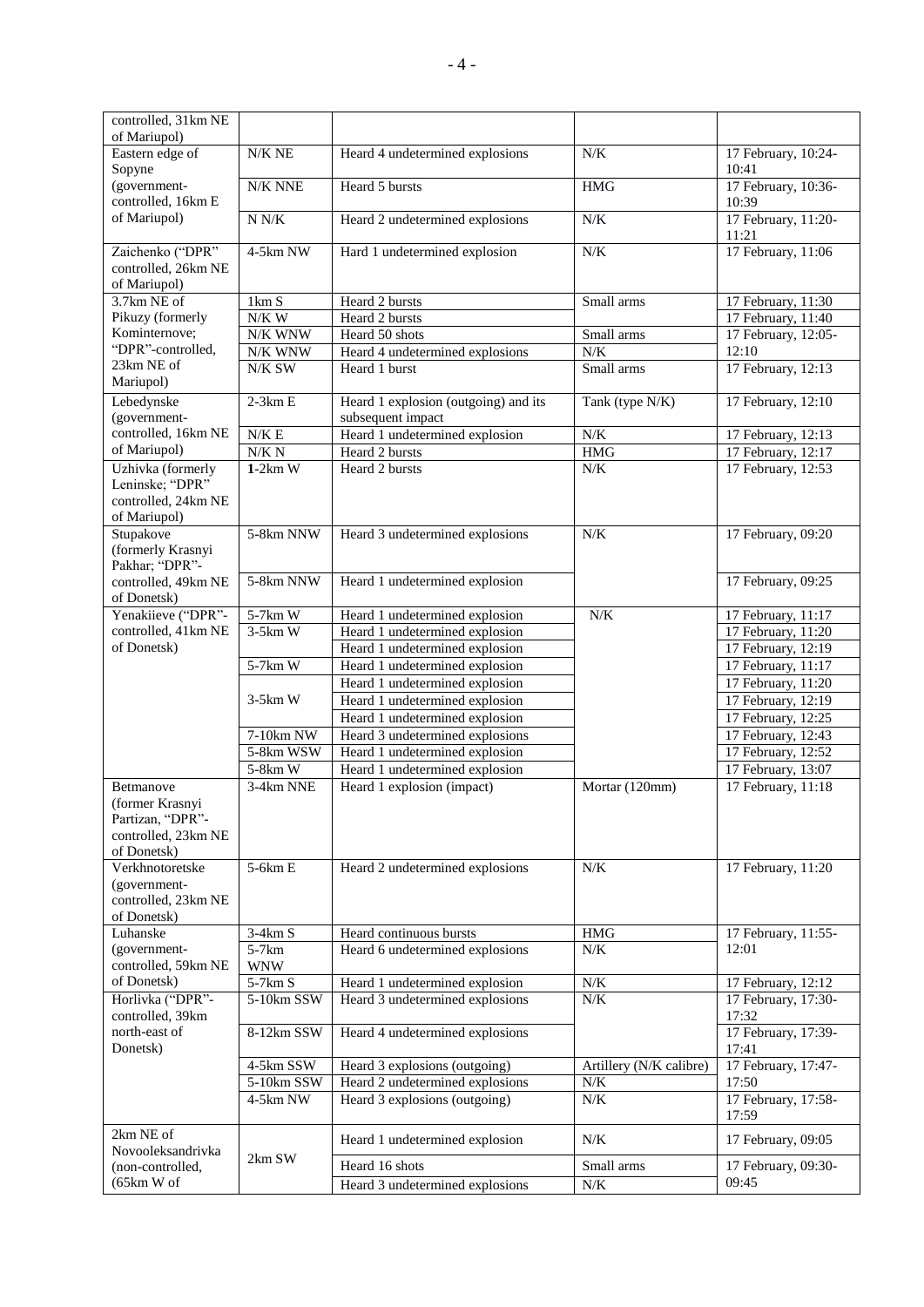| controlled, 31km NE                   |                             |                                      |                         |                                       |
|---------------------------------------|-----------------------------|--------------------------------------|-------------------------|---------------------------------------|
| of Mariupol)                          |                             |                                      |                         |                                       |
| Eastern edge of<br>Sopyne             | $N/K$ NE                    | Heard 4 undetermined explosions      | N/K                     | 17 February, 10:24-<br>10:41          |
| (government-                          | N/K NNE                     | Heard 5 bursts                       | <b>HMG</b>              | 17 February, 10:36-                   |
| controlled, 16km E<br>of Mariupol)    | $\ensuremath{\text{N}}$ N/K | Heard 2 undetermined explosions      | $N/K$                   | 10:39<br>17 February, 11:20-<br>11:21 |
| Zaichenko ("DPR"                      | 4-5km NW                    | Hard 1 undetermined explosion        | $N/K$                   | 17 February, 11:06                    |
| controlled, 26km NE<br>of Mariupol)   |                             |                                      |                         |                                       |
| 3.7km NE of                           | 1km S                       | Heard 2 bursts                       | Small arms              | 17 February, 11:30                    |
| Pikuzy (formerly                      | $N/K$ W                     | Heard 2 bursts                       |                         | 17 February, 11:40                    |
| Kominternove;                         | N/K WNW                     | Heard 50 shots                       | Small arms              | 17 February, 12:05-                   |
| "DPR"-controlled,                     | N/K WNW                     | Heard 4 undetermined explosions      | $N\!/\!K$               | 12:10                                 |
| 23km NE of<br>Mariupol)               | N/K SW                      | Heard 1 burst                        | Small arms              | 17 February, 12:13                    |
| Lebedynske                            | $2-3km E$                   | Heard 1 explosion (outgoing) and its | Tank (type N/K)         | 17 February, 12:10                    |
| (government-                          |                             | subsequent impact                    |                         |                                       |
| controlled, 16km NE                   | $N/K \to$                   | Heard 1 undetermined explosion       | $N\!/\!K$               | 17 February, 12:13                    |
| of Mariupol)                          | N/K N                       | Heard 2 bursts                       | $\operatorname{HMG}$    | 17 February, 12:17                    |
| Uzhivka (formerly                     | $1-2km$ W                   | Heard 2 bursts                       | N/K                     | 17 February, 12:53                    |
| Leninske; "DPR"                       |                             |                                      |                         |                                       |
| controlled, 24km NE                   |                             |                                      |                         |                                       |
| of Mariupol)                          |                             |                                      |                         |                                       |
| Stupakove                             | 5-8km NNW                   | Heard 3 undetermined explosions      | $N/K$                   | 17 February, 09:20                    |
| (formerly Krasnyi                     |                             |                                      |                         |                                       |
| Pakhar; "DPR"-                        |                             |                                      |                         |                                       |
| controlled, 49km NE                   | 5-8km NNW                   | Heard 1 undetermined explosion       |                         | 17 February, 09:25                    |
| of Donetsk)<br>Yenakiieve ("DPR"-     | 5-7km W                     | Heard 1 undetermined explosion       | N/K                     | 17 February, 11:17                    |
| controlled, 41km NE                   | $3-5km$ W                   | Heard 1 undetermined explosion       |                         | 17 February, 11:20                    |
| of Donetsk)                           |                             | Heard 1 undetermined explosion       |                         | 17 February, 12:19                    |
|                                       | 5-7km W                     | Heard 1 undetermined explosion       |                         | 17 February, 11:17                    |
|                                       |                             | Heard 1 undetermined explosion       |                         | 17 February, 11:20                    |
|                                       | $3-5km$ W                   | Heard 1 undetermined explosion       |                         | 17 February, 12:19                    |
|                                       |                             | Heard 1 undetermined explosion       |                         | 17 February, 12:25                    |
|                                       | 7-10km NW                   | Heard 3 undetermined explosions      |                         | 17 February, 12:43                    |
|                                       | 5-8km WSW                   | Heard 1 undetermined explosion       |                         | 17 February, 12:52                    |
|                                       | 5-8km W                     | Heard 1 undetermined explosion       |                         | 17 February, 13:07                    |
| Betmanove                             | 3-4km NNE                   | Heard 1 explosion (impact)           | Mortar (120mm)          | 17 February, 11:18                    |
| (former Krasnyi                       |                             |                                      |                         |                                       |
| Partizan, "DPR"-                      |                             |                                      |                         |                                       |
| controlled, 23km NE                   |                             |                                      |                         |                                       |
| of Donetsk)                           |                             |                                      |                         |                                       |
| Verkhnotoretske                       | $5-6km E$                   | Heard 2 undetermined explosions      | N/K                     | 17 February, 11:20                    |
| (government-                          |                             |                                      |                         |                                       |
| controlled, 23km NE                   |                             |                                      |                         |                                       |
| of Donetsk)                           |                             |                                      |                         |                                       |
| Luhanske                              | $3-4km S$                   | Heard continuous bursts              | <b>HMG</b>              | 17 February, 11:55-<br>12:01          |
| (government-<br>controlled, 59km NE   | $5-7km$<br><b>WNW</b>       | Heard 6 undetermined explosions      | N/K                     |                                       |
| of Donetsk)                           | $5-7km S$                   | Heard 1 undetermined explosion       | N/K                     | 17 February, 12:12                    |
| Horlivka ("DPR"-                      | 5-10km SSW                  | Heard 3 undetermined explosions      | N/K                     | 17 February, 17:30-                   |
| controlled, 39km                      |                             |                                      |                         | 17:32                                 |
| north-east of                         | 8-12km SSW                  | Heard 4 undetermined explosions      |                         | 17 February, 17:39-                   |
| Donetsk)                              |                             |                                      |                         | 17:41                                 |
|                                       | 4-5km SSW                   | Heard 3 explosions (outgoing)        | Artillery (N/K calibre) | 17 February, 17:47-                   |
|                                       | 5-10km SSW                  | Heard 2 undetermined explosions      | N/K                     | 17:50                                 |
|                                       | 4-5km NW                    | Heard 3 explosions (outgoing)        | N/K                     | 17 February, 17:58-<br>17:59          |
| 2km NE of                             |                             | Heard 1 undetermined explosion       | N/K                     | 17 February, 09:05                    |
| Novooleksandrivka<br>(non-controlled, | 2km SW                      | Heard 16 shots                       | Small arms              | 17 February, 09:30-                   |
| (65km W of                            |                             | Heard 3 undetermined explosions      | $N\!/\!K$               | 09:45                                 |
|                                       |                             |                                      |                         |                                       |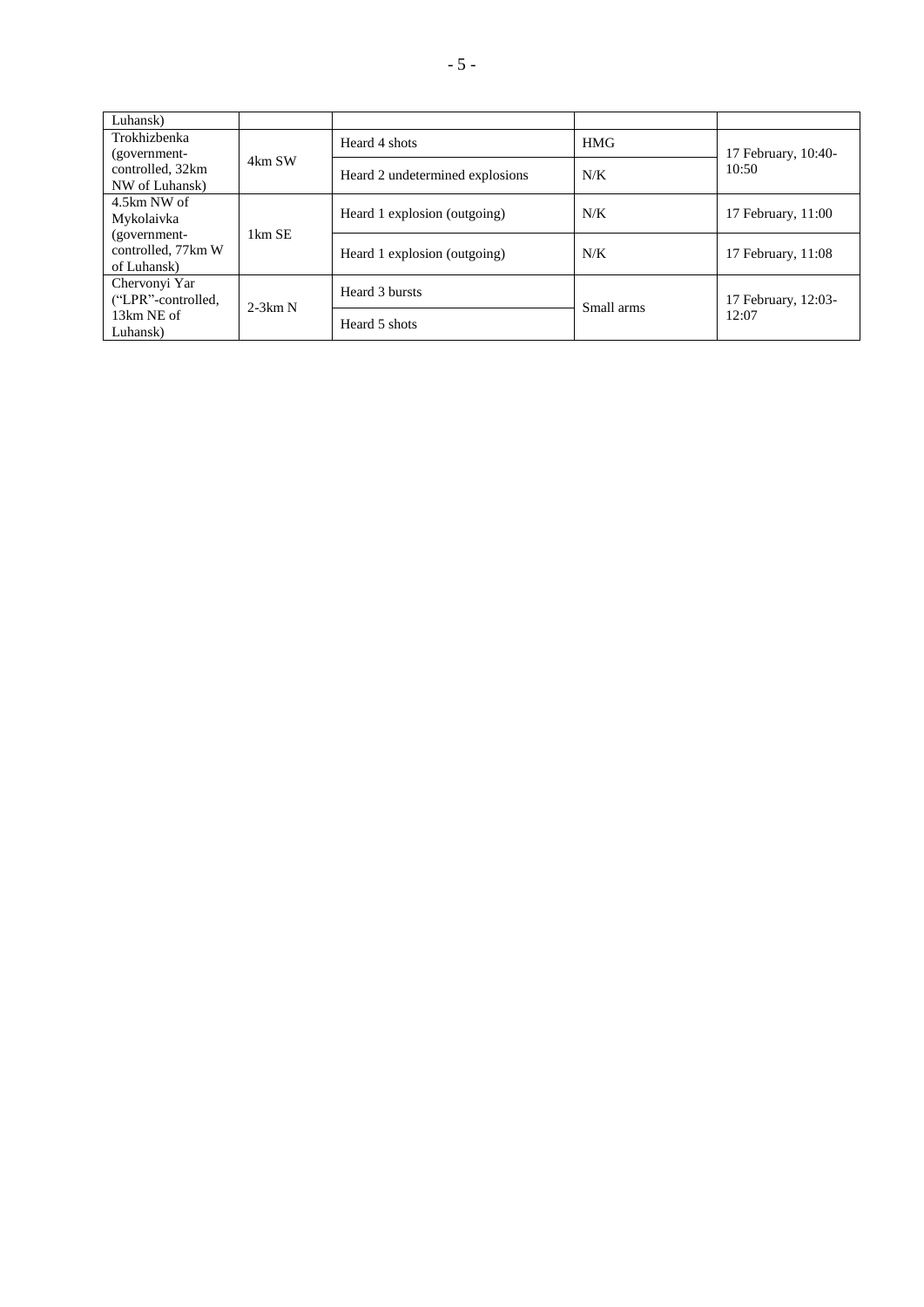| Luhansk)           |           |                                 |            |                              |
|--------------------|-----------|---------------------------------|------------|------------------------------|
| Trokhizbenka       | 4km SW    | Heard 4 shots                   | <b>HMG</b> | 17 February, 10:40-<br>10:50 |
| (government-       |           |                                 |            |                              |
| controlled, 32km   |           | Heard 2 undetermined explosions | N/K        |                              |
| NW of Luhansk)     |           |                                 |            |                              |
| 4.5km NW of        |           |                                 |            |                              |
| Mykolaivka         | 1km SE    | Heard 1 explosion (outgoing)    | N/K        | 17 February, 11:00           |
| (government-       |           |                                 |            |                              |
| controlled, 77km W |           | Heard 1 explosion (outgoing)    | N/K        | 17 February, 11:08           |
| of Luhansk)        |           |                                 |            |                              |
| Chervonyi Yar      |           | Heard 3 bursts                  | Small arms | 17 February, 12:03-<br>12:07 |
| ("LPR"-controlled, | $2-3km N$ |                                 |            |                              |
| 13km NE of         |           | Heard 5 shots                   |            |                              |
| Luhansk)           |           |                                 |            |                              |